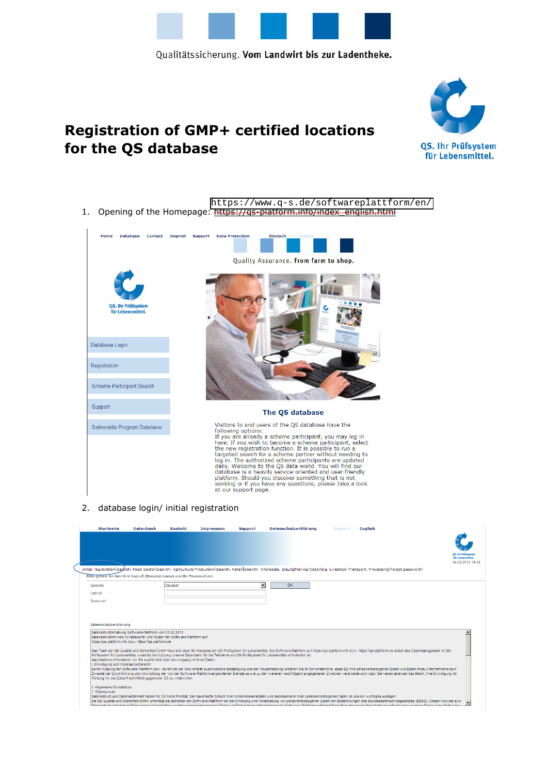

# **Registration of GMP+ certified locations for the QS database**



1. Opening of the Homepage: https://qs-platform.info/index\_english.html <https://www.q-s.de/softwareplattform/en/>



#### 2. database login/ initial registration

|                                                                                                                                                                                         | <b>Datenbank</b> | <b>Kontakt</b> | Impressum | <b>Support</b>           | Datenschutzerklärung                                                                                                                     | Deutsch $\leq$ <b>English</b>                                                                                                                                                                                                                                                                                                                                                                                                                                 |                                                |
|-----------------------------------------------------------------------------------------------------------------------------------------------------------------------------------------|------------------|----------------|-----------|--------------------------|------------------------------------------------------------------------------------------------------------------------------------------|---------------------------------------------------------------------------------------------------------------------------------------------------------------------------------------------------------------------------------------------------------------------------------------------------------------------------------------------------------------------------------------------------------------------------------------------------------------|------------------------------------------------|
|                                                                                                                                                                                         |                  |                |           |                          |                                                                                                                                          |                                                                                                                                                                                                                                                                                                                                                                                                                                                               | <b>OS. Ihr Prüfsystem</b><br>für Lebensmittel. |
|                                                                                                                                                                                         |                  |                |           |                          |                                                                                                                                          |                                                                                                                                                                                                                                                                                                                                                                                                                                                               | 14.03.2012 14:30                               |
| Bitte geben Sie hier Ihre User-ID (Benutzername) und Ihr Passwort ein.                                                                                                                  |                  |                |           |                          |                                                                                                                                          | Initial registration Search: Feed Sector Search: Agriculture/Production Search: Retail Search: Wholesale, Slaudghtering/Deboning, Livestock Transport, Processing Forgot password?                                                                                                                                                                                                                                                                            |                                                |
|                                                                                                                                                                                         |                  |                |           |                          |                                                                                                                                          |                                                                                                                                                                                                                                                                                                                                                                                                                                                               |                                                |
| Sprache                                                                                                                                                                                 |                  | Deutsch        |           | $\overline{\phantom{a}}$ | OK                                                                                                                                       |                                                                                                                                                                                                                                                                                                                                                                                                                                                               |                                                |
| User-ID                                                                                                                                                                                 |                  |                |           |                          |                                                                                                                                          |                                                                                                                                                                                                                                                                                                                                                                                                                                                               |                                                |
| Passwort                                                                                                                                                                                |                  |                |           |                          |                                                                                                                                          |                                                                                                                                                                                                                                                                                                                                                                                                                                                               |                                                |
| Datenschutzerklärung                                                                                                                                                                    |                  |                |           |                          |                                                                                                                                          |                                                                                                                                                                                                                                                                                                                                                                                                                                                               |                                                |
| Datenschutzerklärung Software-Plattform vom 03.02.2011<br>Datenschutzhinweis für Besucher und Nutzer der Software-Plattform auf<br>https://qs-platform.info bzw. https://qs-platform.de |                  |                |           |                          |                                                                                                                                          |                                                                                                                                                                                                                                                                                                                                                                                                                                                               |                                                |
| Nachstehend informieren wir Sie ausführlich über den Umgang mit Ihren Daten.<br>I. Einwilligung und Widerspruchsrecht                                                                   |                  |                |           |                          | Prüfsystem für Lebensmittel, weshalb die Nutzung unserer Datenbank für die Teilnahme am QS-Prüfsystem für Lebensmittel erforderlich ist. | Das Team der QS Qualität und Sicherheit GmbH freut sich über Ihr Interesse am QS-Prüfsystem für Lebensmittel. Die Software-Plattform auf https://qs-platform.info bzw. https://gs-platform.de leistet das Datenmanagement im Q                                                                                                                                                                                                                                |                                                |
| Wirkung für die Zukunft schriftlich gegenüber QS zu widerrufen.                                                                                                                         |                  |                |           |                          |                                                                                                                                          | Durch Nutzung der Software-Plattform bzw. durch die per Klick erteilte ausdrückliche Bestätigung (bei der Neuanmeldung) erklären Sie Ihr Einverständnis, dass QS Ihre personenbezogenen Daten und Daten Ihres Unternehmens zum<br>Zwecke der Durchführung und Abwicklung der von der Software-Plattform angebotenen Dienste sowie zu den weiteren nachfolgend angegebenen Zwecken verarbeitet und nutzt. Sie haben iederzeit das Recht, Ihre Einwilligung mit |                                                |
| II. Allgemeine Grundsätze<br>1. Datenschutz                                                                                                                                             |                  |                |           |                          |                                                                                                                                          | Datenschutz und Datensicherheit haben für QS hohe Priorität. Der dauerhafte Schutz ihrer Unternehmensdaten und insbesondere Ihrer personenbezogenen Daten ist uns ein wichtiges Anliegen.                                                                                                                                                                                                                                                                     |                                                |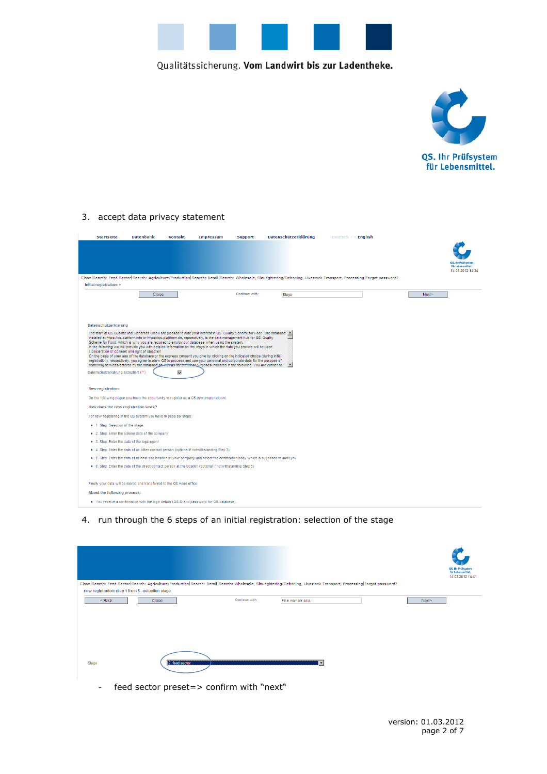



#### 3. accept data privacy statement

| <b>Startseite</b>                                                                                               | <b>Datenbank</b> | <b>Kontakt</b> | <b>Impressum</b>                                                                                                                                                                                                                                                                                                                                                                                                                                                                                                                                                                                                                                                                                                                                                                                                                                                                     | <b>Support</b> | Datenschutzerklärung | Deutsch $\leq$ > English                                                                                                                                            |                                                             |
|-----------------------------------------------------------------------------------------------------------------|------------------|----------------|--------------------------------------------------------------------------------------------------------------------------------------------------------------------------------------------------------------------------------------------------------------------------------------------------------------------------------------------------------------------------------------------------------------------------------------------------------------------------------------------------------------------------------------------------------------------------------------------------------------------------------------------------------------------------------------------------------------------------------------------------------------------------------------------------------------------------------------------------------------------------------------|----------------|----------------------|---------------------------------------------------------------------------------------------------------------------------------------------------------------------|-------------------------------------------------------------|
|                                                                                                                 |                  |                |                                                                                                                                                                                                                                                                                                                                                                                                                                                                                                                                                                                                                                                                                                                                                                                                                                                                                      |                |                      |                                                                                                                                                                     | OS. Ihr Prüfsysten<br>für Lebensmittel.<br>14.03.2012 14:34 |
|                                                                                                                 |                  |                |                                                                                                                                                                                                                                                                                                                                                                                                                                                                                                                                                                                                                                                                                                                                                                                                                                                                                      |                |                      | Close Search: Feed Sector Search: Agriculture/Production Search: Retail Search: Wholesale, Slaudghtering/Deboning, Livestock Transport, Processing Forgot password? |                                                             |
| Initial registration: >                                                                                         | Close            |                |                                                                                                                                                                                                                                                                                                                                                                                                                                                                                                                                                                                                                                                                                                                                                                                                                                                                                      | Continue with: | Stage                |                                                                                                                                                                     | Next>                                                       |
| Datenschutzerklärung<br>I. Declaration of consent and right of objection<br>Datenschutzerklärung akzeptiert (*) |                  | M              | The team at QS Qualität und Sicherheit GmbH are pleased to note your interest in QS. Quality Scheme for Food. The database $-$<br>installed at https://qs-platform.info or https://qs-plattform.de, repsectively, is the data management hub for QS. Quality<br>Scheme for Food, which is why you are required to employ our database when using the system.<br>In the following we will provide you with detailed information on the ways in which the data you provide will be used.<br>On the basis of your use of the database or the express consent you give by clicking on the indicated choice (during initial<br>registration), respectively, you agree to allow QS to process and use your personal and corporate data for the purpose of<br>rendering services offered by the database as wrell as for the other purposes indicated in the following. You are entitled to |                |                      |                                                                                                                                                                     |                                                             |
| New registration:                                                                                               |                  |                |                                                                                                                                                                                                                                                                                                                                                                                                                                                                                                                                                                                                                                                                                                                                                                                                                                                                                      |                |                      |                                                                                                                                                                     |                                                             |
| On the following pages you have the opportunity to register as a QS system participant.                         |                  |                |                                                                                                                                                                                                                                                                                                                                                                                                                                                                                                                                                                                                                                                                                                                                                                                                                                                                                      |                |                      |                                                                                                                                                                     |                                                             |
| How does the new registration work?                                                                             |                  |                |                                                                                                                                                                                                                                                                                                                                                                                                                                                                                                                                                                                                                                                                                                                                                                                                                                                                                      |                |                      |                                                                                                                                                                     |                                                             |
| For new registering in the QS system you have to pass six steps:                                                |                  |                |                                                                                                                                                                                                                                                                                                                                                                                                                                                                                                                                                                                                                                                                                                                                                                                                                                                                                      |                |                      |                                                                                                                                                                     |                                                             |
| . 1. Step: Selection of the stage                                                                               |                  |                |                                                                                                                                                                                                                                                                                                                                                                                                                                                                                                                                                                                                                                                                                                                                                                                                                                                                                      |                |                      |                                                                                                                                                                     |                                                             |
| • 2. Step: Enter the adress data of the company                                                                 |                  |                |                                                                                                                                                                                                                                                                                                                                                                                                                                                                                                                                                                                                                                                                                                                                                                                                                                                                                      |                |                      |                                                                                                                                                                     |                                                             |
| • 3. Step: Enter the data of the legal agent                                                                    |                  |                |                                                                                                                                                                                                                                                                                                                                                                                                                                                                                                                                                                                                                                                                                                                                                                                                                                                                                      |                |                      |                                                                                                                                                                     |                                                             |
|                                                                                                                 |                  |                | · 4. Step: Enter the data of an other contact person (optional if notwithstanding Step 3)                                                                                                                                                                                                                                                                                                                                                                                                                                                                                                                                                                                                                                                                                                                                                                                            |                |                      |                                                                                                                                                                     |                                                             |
|                                                                                                                 |                  |                | • 5. Step: Enter the data of at least one location of your company and select the certification body which is supposed to audit you                                                                                                                                                                                                                                                                                                                                                                                                                                                                                                                                                                                                                                                                                                                                                  |                |                      |                                                                                                                                                                     |                                                             |
|                                                                                                                 |                  |                | . 6. Step: Enter the data of the direct contact person at the location (optional if notwithstanding Step 5)                                                                                                                                                                                                                                                                                                                                                                                                                                                                                                                                                                                                                                                                                                                                                                          |                |                      |                                                                                                                                                                     |                                                             |
| Finally your data will be stored and transferred to the QS Head office.                                         |                  |                |                                                                                                                                                                                                                                                                                                                                                                                                                                                                                                                                                                                                                                                                                                                                                                                                                                                                                      |                |                      |                                                                                                                                                                     |                                                             |
| About the following process:                                                                                    |                  |                |                                                                                                                                                                                                                                                                                                                                                                                                                                                                                                                                                                                                                                                                                                                                                                                                                                                                                      |                |                      |                                                                                                                                                                     |                                                             |
|                                                                                                                 |                  |                | • You receive a confirmation with the login details (QS-ID and password for QS-database).                                                                                                                                                                                                                                                                                                                                                                                                                                                                                                                                                                                                                                                                                                                                                                                            |                |                      |                                                                                                                                                                     |                                                             |

## 4. run through the 6 steps of an initial registration: selection of the stage

| new registration: step 1 from 6 - selection stage |                |                | Close Search: Feed Sector Search: Agriculture/Production Search: Retail Search: Wholesale, Slaudghtering/Deboning, Livestock Transport, Processing Forgot password? |       | QS. Ihr Prüfsystem<br>für Lebensmittel.<br>14.03.2012 14:41 |
|---------------------------------------------------|----------------|----------------|---------------------------------------------------------------------------------------------------------------------------------------------------------------------|-------|-------------------------------------------------------------|
| $Back$                                            | Close          | Continue with: | Fill in member data                                                                                                                                                 | Next> |                                                             |
|                                                   |                |                |                                                                                                                                                                     |       |                                                             |
| Stage                                             | 2. feed sector |                |                                                                                                                                                                     |       |                                                             |

- feed sector preset=> confirm with "next"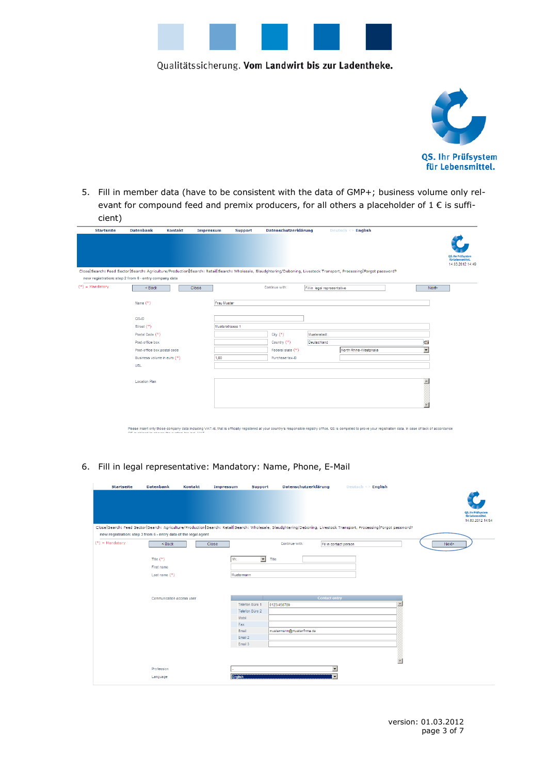



5. Fill in member data (have to be consistent with the data of GMP+; business volume only relevant for compound feed and premix producers, for all others a placeholder of  $1 \in$  is sufficient)

| <b>Startseite</b>                                    | <b>Datenbank</b>            | <b>Kontakt</b> | Impressum    | <b>Support</b>  | Datenschutzerklärung |                              | Deutsch $\leq$ English                                                                                                                                              |                          |                                                             |
|------------------------------------------------------|-----------------------------|----------------|--------------|-----------------|----------------------|------------------------------|---------------------------------------------------------------------------------------------------------------------------------------------------------------------|--------------------------|-------------------------------------------------------------|
|                                                      |                             |                |              |                 |                      |                              |                                                                                                                                                                     |                          | QS. Ihr Prüfsystem<br>für Lebensmittel.<br>14.03.2012 14:49 |
| new registration: step 2 from 6 - entry company data |                             |                |              |                 |                      |                              | Close Search: Feed Sector Search: Agriculture/Production Search: Retail Search: Wholesale, Slaudghtering/Deboning, Livestock Transport, Processing Forgot password? |                          |                                                             |
| $(*)$ = Mandatory                                    | $Back$                      |                | <b>Close</b> |                 | Continue with:       | Fill in legal representative |                                                                                                                                                                     | Next                     |                                                             |
|                                                      |                             |                |              |                 |                      |                              |                                                                                                                                                                     |                          |                                                             |
|                                                      | Name $(*)$                  |                |              | Frau Muster     |                      |                              |                                                                                                                                                                     |                          |                                                             |
|                                                      |                             |                |              |                 |                      |                              |                                                                                                                                                                     |                          |                                                             |
|                                                      | $QS-ID$                     |                |              |                 |                      |                              |                                                                                                                                                                     |                          |                                                             |
|                                                      | Street (*)                  |                |              | Musterstrasse 1 |                      |                              |                                                                                                                                                                     |                          |                                                             |
|                                                      | Postal Code (*)             |                |              |                 | City $(*)$           | Musterstadt                  |                                                                                                                                                                     |                          |                                                             |
|                                                      | Post-office box             |                |              |                 | Country (*)          | Deutschland                  |                                                                                                                                                                     | $\blacksquare$           |                                                             |
|                                                      | Post-office box postal code |                |              |                 | Federal state (*)    |                              | North Rhine-Westphalia                                                                                                                                              | $\overline{\phantom{a}}$ |                                                             |
|                                                      | Business volume in euro (*) |                |              | 1,00            | Purchase tax-ID      |                              |                                                                                                                                                                     |                          |                                                             |
|                                                      | URL                         |                |              |                 |                      |                              |                                                                                                                                                                     |                          |                                                             |
|                                                      |                             |                |              |                 |                      |                              |                                                                                                                                                                     |                          |                                                             |
|                                                      | <b>Location Plan</b>        |                |              |                 |                      |                              |                                                                                                                                                                     |                          |                                                             |
|                                                      |                             |                |              |                 |                      |                              |                                                                                                                                                                     |                          |                                                             |

Please insert only those company data including VAT-Id. that is officially registered at your country's responsible registry office. QS is compelled to prove your registration data. In case of lack of accordance

6. Fill in legal representative: Mandatory: Name, Phone, E-Mail

| <b>Startseite</b>                                               | <b>Datenbank</b>          | <b>Kontakt</b> | Impressum  | <b>Support</b>                    | Datenschutzerklärung                                                                                                                                                |                          | Deutsch <> English |                         |       |                                       |
|-----------------------------------------------------------------|---------------------------|----------------|------------|-----------------------------------|---------------------------------------------------------------------------------------------------------------------------------------------------------------------|--------------------------|--------------------|-------------------------|-------|---------------------------------------|
|                                                                 |                           |                |            |                                   |                                                                                                                                                                     |                          |                    |                         |       |                                       |
|                                                                 |                           |                |            |                                   |                                                                                                                                                                     |                          |                    |                         |       | QS. Ihr Prüfsystem                    |
|                                                                 |                           |                |            |                                   |                                                                                                                                                                     |                          |                    |                         |       | für Lebensmittel.<br>14.03.2012 14:54 |
|                                                                 |                           |                |            |                                   | Close Search: Feed Sector Search: Agriculture/Production Search: Retail Search: Wholesale, Slaudghtering/Deboning, Livestock Transport, Processing Forgot password? |                          |                    |                         |       |                                       |
| new registration: step 3 from 6 - entry data of the legal agent |                           |                |            |                                   |                                                                                                                                                                     |                          |                    |                         |       |                                       |
| $(*)$ = Mandatory                                               | $Back$                    |                | Close      |                                   | Continue with:                                                                                                                                                      | Fill in contact person   |                    |                         | Next> |                                       |
|                                                                 | Title $(*)$               |                | Mr.        | $\overline{\phantom{a}}$<br>Title |                                                                                                                                                                     |                          |                    |                         |       |                                       |
|                                                                 | First name                |                |            |                                   |                                                                                                                                                                     |                          |                    |                         |       |                                       |
|                                                                 |                           |                |            |                                   |                                                                                                                                                                     |                          |                    |                         |       |                                       |
|                                                                 | Last name $(*)$           |                | Mustermann |                                   |                                                                                                                                                                     |                          |                    |                         |       |                                       |
|                                                                 |                           |                |            |                                   |                                                                                                                                                                     |                          |                    |                         |       |                                       |
|                                                                 |                           |                |            |                                   |                                                                                                                                                                     |                          |                    |                         |       |                                       |
|                                                                 | Communication access user |                |            |                                   |                                                                                                                                                                     | <b>Contact entry</b>     |                    |                         |       |                                       |
|                                                                 |                           |                |            | Telefon Büro 1                    | 0123/456789                                                                                                                                                         |                          |                    | $\blacktriangle$        |       |                                       |
|                                                                 |                           |                |            | Telefon Büro 2                    |                                                                                                                                                                     |                          |                    |                         |       |                                       |
|                                                                 |                           |                | Mobil      |                                   |                                                                                                                                                                     |                          |                    |                         |       |                                       |
|                                                                 |                           |                | Fax        |                                   |                                                                                                                                                                     |                          |                    |                         |       |                                       |
|                                                                 |                           |                | Email      |                                   | mustermann@musterfirma.de                                                                                                                                           |                          |                    |                         |       |                                       |
|                                                                 |                           |                |            | Email 2                           |                                                                                                                                                                     |                          |                    |                         |       |                                       |
|                                                                 |                           |                |            | Email 3                           |                                                                                                                                                                     |                          |                    |                         |       |                                       |
|                                                                 |                           |                |            |                                   |                                                                                                                                                                     |                          |                    |                         |       |                                       |
|                                                                 |                           |                |            |                                   |                                                                                                                                                                     |                          |                    |                         |       |                                       |
|                                                                 |                           |                |            |                                   |                                                                                                                                                                     |                          |                    | $\overline{\mathbf{v}}$ |       |                                       |
|                                                                 | Profession                |                |            |                                   |                                                                                                                                                                     | $\overline{\phantom{a}}$ |                    |                         |       |                                       |
|                                                                 |                           |                |            |                                   |                                                                                                                                                                     |                          |                    |                         |       |                                       |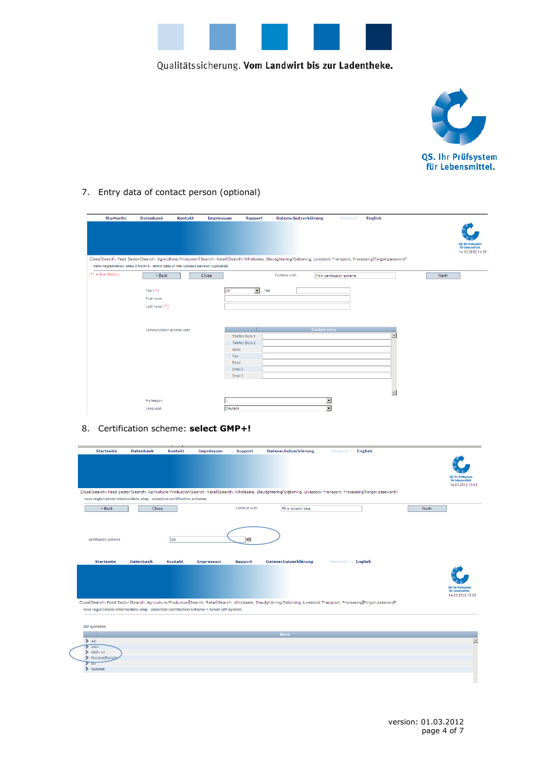



#### 7. Entry data of contact person (optional)

|                   |                                                                               |         |                               |                                                                                                                                                                     |                                            |                          |       | QS. Ihr Prüfsystem<br>für Lebensmittel.<br>14.03.2012 14:56 |
|-------------------|-------------------------------------------------------------------------------|---------|-------------------------------|---------------------------------------------------------------------------------------------------------------------------------------------------------------------|--------------------------------------------|--------------------------|-------|-------------------------------------------------------------|
|                   | new registration: step 4 from 6 - entry data of the contact person (optional) |         |                               | Close Search: Feed Sector Search: Agriculture/Production Search: Retail Search: Wholesale, Slaudghtering/Deboning, Livestock Transport, Processing Forgot password? |                                            |                          |       |                                                             |
| $(*)$ = Mandatory | $Back$                                                                        | Close   |                               | Continue with:                                                                                                                                                      | Fill in certification scheme               |                          | Next> |                                                             |
|                   |                                                                               |         |                               |                                                                                                                                                                     |                                            |                          |       |                                                             |
|                   | Title $(*)$<br>First name                                                     | Mr.     | $\blacktriangledown$<br>Title |                                                                                                                                                                     |                                            |                          |       |                                                             |
|                   |                                                                               |         |                               |                                                                                                                                                                     |                                            |                          |       |                                                             |
|                   | Last name $(*)$                                                               |         |                               |                                                                                                                                                                     |                                            |                          |       |                                                             |
|                   |                                                                               |         |                               |                                                                                                                                                                     |                                            |                          |       |                                                             |
|                   | Communication access user                                                     |         |                               |                                                                                                                                                                     | <b>Contact entry</b>                       |                          |       |                                                             |
|                   |                                                                               |         | Telefon Büro 1                |                                                                                                                                                                     |                                            | $\overline{\phantom{a}}$ |       |                                                             |
|                   |                                                                               |         | Telefon Büro 2                |                                                                                                                                                                     |                                            |                          |       |                                                             |
|                   |                                                                               | Mobil   |                               |                                                                                                                                                                     |                                            |                          |       |                                                             |
|                   |                                                                               | Fax     |                               |                                                                                                                                                                     |                                            |                          |       |                                                             |
|                   |                                                                               | Email   |                               |                                                                                                                                                                     |                                            |                          |       |                                                             |
|                   |                                                                               | Email 2 |                               |                                                                                                                                                                     |                                            |                          |       |                                                             |
|                   |                                                                               | Email 3 |                               |                                                                                                                                                                     |                                            |                          |       |                                                             |
|                   |                                                                               |         |                               |                                                                                                                                                                     |                                            |                          |       |                                                             |
|                   |                                                                               |         |                               |                                                                                                                                                                     |                                            | $\overline{\phantom{a}}$ |       |                                                             |
|                   |                                                                               |         |                               |                                                                                                                                                                     |                                            |                          |       |                                                             |
|                   | Profession                                                                    |         |                               |                                                                                                                                                                     | $\overline{ }$<br>$\overline{\phantom{0}}$ |                          |       |                                                             |
|                   | Language                                                                      | Deutsch |                               |                                                                                                                                                                     |                                            |                          |       |                                                             |

## 8. Certification scheme: **select GMP+!**

| <b>Startseite</b>                                                                       | <b>Datenbank</b> | <b>Kontakt</b> | Impressum | Support        | Datenschutzerklärung  | Deutsch $\leq$ English                                                                                                                                              |       |                                                |
|-----------------------------------------------------------------------------------------|------------------|----------------|-----------|----------------|-----------------------|---------------------------------------------------------------------------------------------------------------------------------------------------------------------|-------|------------------------------------------------|
|                                                                                         |                  |                |           |                |                       |                                                                                                                                                                     |       |                                                |
|                                                                                         |                  |                |           |                |                       |                                                                                                                                                                     |       |                                                |
|                                                                                         |                  |                |           |                |                       |                                                                                                                                                                     |       | <b>OS. Ihr Prüfsystem</b><br>für Lebensmittel. |
|                                                                                         |                  |                |           |                |                       |                                                                                                                                                                     |       | 14.03.2012 15:01                               |
| new registration: intermediate step - selection certification scheme                    |                  |                |           |                |                       | Close Search: Feed Sector Search: Agriculture/Production Search: Retail Search: Wholesale, Slaudghtering/Deboning, Livestock Transport, Processing Forgot password? |       |                                                |
|                                                                                         |                  |                |           |                |                       |                                                                                                                                                                     |       |                                                |
| $Back$                                                                                  | <b>Close</b>     |                |           | Continue with: | Fill in location data |                                                                                                                                                                     | Next> |                                                |
|                                                                                         |                  |                |           |                |                       |                                                                                                                                                                     |       |                                                |
|                                                                                         |                  |                |           |                |                       |                                                                                                                                                                     |       |                                                |
| certification scheme                                                                    |                  | <b>as</b>      |           | G              |                       |                                                                                                                                                                     |       |                                                |
|                                                                                         |                  |                |           |                |                       |                                                                                                                                                                     |       |                                                |
|                                                                                         |                  |                |           |                |                       |                                                                                                                                                                     |       |                                                |
| <b>Startseite</b>                                                                       | <b>Datenbank</b> | <b>Kontakt</b> | Impressum | <b>Support</b> | Datenschutzerklärung  | Deutsch <> English                                                                                                                                                  |       |                                                |
|                                                                                         |                  |                |           |                |                       |                                                                                                                                                                     |       |                                                |
|                                                                                         |                  |                |           |                |                       |                                                                                                                                                                     |       |                                                |
|                                                                                         |                  |                |           |                |                       |                                                                                                                                                                     |       | QS. Ihr Prüfsystem                             |
|                                                                                         |                  |                |           |                |                       |                                                                                                                                                                     |       | für Lebensmittel.<br>14.03.2012 15:02          |
|                                                                                         |                  |                |           |                |                       | Close Search: Feed Sector Search: Agriculture/Production Search: Retail Search: Wholesale, Slaudghtering/Deboning, Livestock Transport, Processing Forgot password? |       |                                                |
| new registration: intermediate step - selection certification scheme > Select QM system |                  |                |           |                |                       |                                                                                                                                                                     |       |                                                |
|                                                                                         |                  |                |           |                |                       |                                                                                                                                                                     |       |                                                |
| <b>QM</b> systems                                                                       |                  |                |           |                |                       |                                                                                                                                                                     |       |                                                |
|                                                                                         |                  |                |           |                | Name                  |                                                                                                                                                                     |       |                                                |
| $\triangleright$ AIC                                                                    |                  |                |           |                |                       |                                                                                                                                                                     |       |                                                |
| $\sum$ AMA<br>$\gg$ GMP+ Int.                                                           |                  |                |           |                |                       |                                                                                                                                                                     |       |                                                |
| <b>▶ Ovocom/Bemeta</b>                                                                  |                  |                |           |                |                       |                                                                                                                                                                     |       |                                                |
| <b>us</b><br>$\sum$ Qualimat                                                            |                  |                |           |                |                       |                                                                                                                                                                     |       |                                                |
|                                                                                         |                  |                |           |                |                       |                                                                                                                                                                     |       |                                                |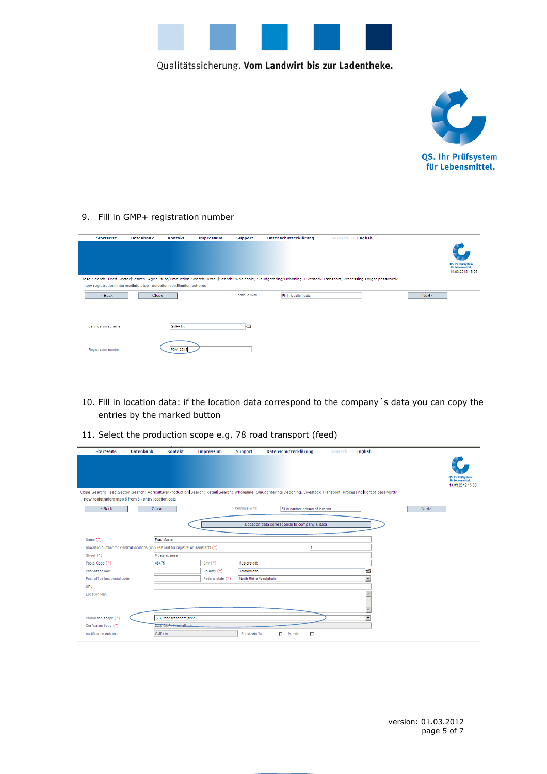



9. Fill in GMP+ registration number

| <b>Startseite</b>                                                    | <b>Datenbank</b> | <b>Kontakt</b> | Impressum | <b>Support</b> | Datenschutzerklärung  | English<br>Deutsch <>                                                                                                                                               |       |                                         |
|----------------------------------------------------------------------|------------------|----------------|-----------|----------------|-----------------------|---------------------------------------------------------------------------------------------------------------------------------------------------------------------|-------|-----------------------------------------|
|                                                                      |                  |                |           |                |                       |                                                                                                                                                                     |       |                                         |
|                                                                      |                  |                |           |                |                       |                                                                                                                                                                     |       |                                         |
|                                                                      |                  |                |           |                |                       |                                                                                                                                                                     |       | QS. Ihr Prüfsystem<br>für Lebensmittel. |
|                                                                      |                  |                |           |                |                       |                                                                                                                                                                     |       | 14.03.2012 15:03                        |
|                                                                      |                  |                |           |                |                       | Close Search: Feed Sector Search: Agriculture/Production Search: Retail Search: Wholesale, Slaudghtering/Deboning, Livestock Transport, Processing Forgot password? |       |                                         |
| new registration: intermediate step - selection certification scheme |                  |                |           |                |                       |                                                                                                                                                                     |       |                                         |
| $Back$                                                               | Close            |                |           | Continue with: | Fill in location data |                                                                                                                                                                     | Next> |                                         |
|                                                                      |                  |                |           |                |                       |                                                                                                                                                                     |       |                                         |
|                                                                      |                  |                |           |                |                       |                                                                                                                                                                     |       |                                         |
| certification scheme.                                                |                  | GMP+ Int.      |           | s              |                       |                                                                                                                                                                     |       |                                         |
|                                                                      |                  |                |           |                |                       |                                                                                                                                                                     |       |                                         |
|                                                                      |                  |                |           |                |                       |                                                                                                                                                                     |       |                                         |
| Registration number                                                  |                  | PDV12345       |           |                |                       |                                                                                                                                                                     |       |                                         |
|                                                                      |                  |                |           |                |                       |                                                                                                                                                                     |       |                                         |

- 10. Fill in location data: if the location data correspond to the company´s data you can copy the entries by the marked button
- 11. Select the production scope e.g. 78 road transport (feed)

| <b>Startseite</b>                                                                        | <b>Datenbank</b> | <b>Kontakt</b>             | Impressum         | Support                | Datenschutzerklärung                        | Deutsch $\leq$ English                                                                                                                                              |                                         |
|------------------------------------------------------------------------------------------|------------------|----------------------------|-------------------|------------------------|---------------------------------------------|---------------------------------------------------------------------------------------------------------------------------------------------------------------------|-----------------------------------------|
|                                                                                          |                  |                            |                   |                        |                                             |                                                                                                                                                                     |                                         |
|                                                                                          |                  |                            |                   |                        |                                             |                                                                                                                                                                     |                                         |
|                                                                                          |                  |                            |                   |                        |                                             |                                                                                                                                                                     | QS. Ihr Prüfsystem<br>für Lebensmittel. |
|                                                                                          |                  |                            |                   |                        |                                             |                                                                                                                                                                     | 14.03.2012 15:08                        |
|                                                                                          |                  |                            |                   |                        |                                             | Close Search: Feed Sector Search: Agriculture/Production Search: Retail Search: Wholesale, Slaudghtering/Deboning, Livestock Transport, Processing Forgot password? |                                         |
| new registration: step 5 from 6 - entry location data                                    |                  |                            |                   |                        |                                             |                                                                                                                                                                     |                                         |
| $Back$                                                                                   | Close            |                            |                   | Continue with:         | Fill in contact person of location          |                                                                                                                                                                     | Next>                                   |
|                                                                                          |                  |                            |                   |                        |                                             |                                                                                                                                                                     |                                         |
|                                                                                          |                  |                            |                   |                        | Location data corresponds to company's data |                                                                                                                                                                     |                                         |
|                                                                                          |                  |                            |                   |                        |                                             |                                                                                                                                                                     |                                         |
| Name $(*)$                                                                               |                  | Frau Muster                |                   |                        |                                             |                                                                                                                                                                     |                                         |
| allocation number for identical locations (only relevant for registration assistant) (*) |                  |                            |                   |                        |                                             |                                                                                                                                                                     |                                         |
| Street (*)                                                                               |                  | Musterstrasse 1            |                   |                        |                                             |                                                                                                                                                                     |                                         |
| Postal Code (*)                                                                          |                  | 45475                      | $City (*)$        | Musterstadt            |                                             |                                                                                                                                                                     |                                         |
| Post-office box                                                                          |                  |                            | Country (*)       | Deutschland            |                                             | $\blacksquare$                                                                                                                                                      |                                         |
| Post-office box postal code                                                              |                  |                            | Federal state (*) | North Rhine-Westphalia |                                             | $\overline{\phantom{a}}$                                                                                                                                            |                                         |
| URL                                                                                      |                  |                            |                   |                        |                                             |                                                                                                                                                                     |                                         |
| <b>Location Plan</b>                                                                     |                  |                            |                   |                        |                                             |                                                                                                                                                                     |                                         |
|                                                                                          |                  |                            |                   |                        |                                             |                                                                                                                                                                     |                                         |
|                                                                                          |                  |                            |                   |                        |                                             |                                                                                                                                                                     |                                         |
| Production scope (*)                                                                     |                  | (78) road transport (feed) |                   |                        |                                             | $\overline{\phantom{a}}$                                                                                                                                            |                                         |
| Cerfication body (*)                                                                     |                  | ZZZ-GMP+ International     |                   |                        |                                             |                                                                                                                                                                     |                                         |
| certification scheme                                                                     |                  | GMP+ Int.                  |                   | Zusatzstoffe           | п<br>г<br>Premixe                           |                                                                                                                                                                     |                                         |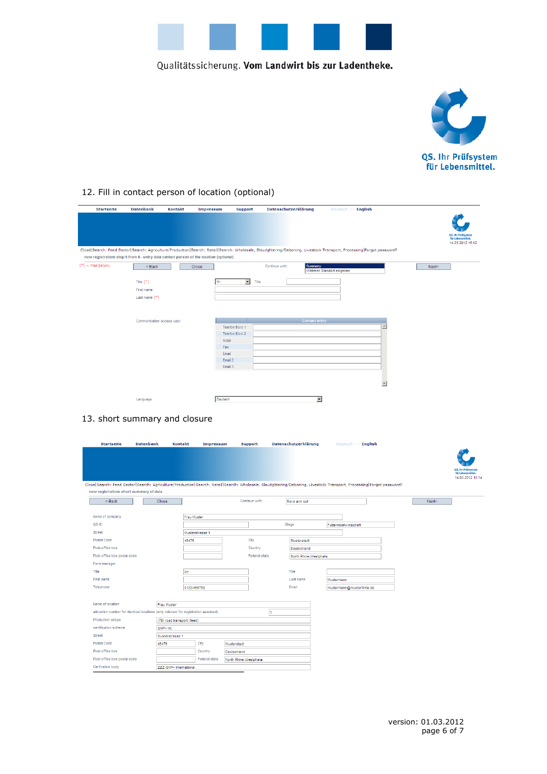



## 12. Fill in contact person of location (optional)

| <b>Startseite</b> | <b>Datenbank</b>                                                                       | <b>Kontakt</b> | Impressum        | <b>Support</b>               | Datenschutzerklärung |                      | Deutsch <> English                                                                                                                                                  |                          |                                                             |
|-------------------|----------------------------------------------------------------------------------------|----------------|------------------|------------------------------|----------------------|----------------------|---------------------------------------------------------------------------------------------------------------------------------------------------------------------|--------------------------|-------------------------------------------------------------|
|                   |                                                                                        |                |                  |                              |                      |                      |                                                                                                                                                                     |                          |                                                             |
|                   |                                                                                        |                |                  |                              |                      |                      |                                                                                                                                                                     |                          |                                                             |
|                   |                                                                                        |                |                  |                              |                      |                      |                                                                                                                                                                     |                          | QS. Ihr Prüfsystem<br>für Lebensmittel.<br>14.03.2012 15:12 |
|                   | new registration: step 6 from 6 - entry data contact person of the location (optional) |                |                  |                              |                      |                      | Close Search: Feed Sector Search: Agriculture/Production Search: Retail Search: Wholesale, Slaudghtering/Deboning, Livestock Transport, Processing Forgot password? |                          |                                                             |
| $(*)$ = Mandatory | < Back                                                                                 |                | <b>Close</b>     |                              | Continue with:       | Summary              |                                                                                                                                                                     |                          | Next>                                                       |
|                   |                                                                                        |                |                  |                              |                      |                      | Weiteren Standort eingeben                                                                                                                                          |                          |                                                             |
|                   | Title $(*)$                                                                            |                | Mr.              | $\vert \cdot \vert$<br>Title |                      |                      |                                                                                                                                                                     |                          |                                                             |
|                   | First name                                                                             |                |                  |                              |                      |                      |                                                                                                                                                                     |                          |                                                             |
|                   | Last name $(*)$                                                                        |                |                  |                              |                      |                      |                                                                                                                                                                     |                          |                                                             |
|                   |                                                                                        |                |                  |                              |                      |                      |                                                                                                                                                                     |                          |                                                             |
|                   |                                                                                        |                |                  |                              |                      |                      |                                                                                                                                                                     |                          |                                                             |
|                   | Communication access user                                                              |                |                  |                              |                      | <b>Contact entry</b> |                                                                                                                                                                     |                          |                                                             |
|                   |                                                                                        |                |                  | Telefon Büro 1               |                      |                      |                                                                                                                                                                     | $\blacktriangle$         |                                                             |
|                   |                                                                                        |                |                  | Telefon Büro 2               |                      |                      |                                                                                                                                                                     |                          |                                                             |
|                   |                                                                                        |                | Mobil            |                              |                      |                      |                                                                                                                                                                     |                          |                                                             |
|                   |                                                                                        |                | Fax              |                              |                      |                      |                                                                                                                                                                     |                          |                                                             |
|                   |                                                                                        |                | Email<br>Email 2 |                              |                      |                      |                                                                                                                                                                     |                          |                                                             |
|                   |                                                                                        |                | Email 3          |                              |                      |                      |                                                                                                                                                                     |                          |                                                             |
|                   |                                                                                        |                |                  |                              |                      |                      |                                                                                                                                                                     |                          |                                                             |
|                   |                                                                                        |                |                  |                              |                      |                      |                                                                                                                                                                     |                          |                                                             |
|                   |                                                                                        |                |                  |                              |                      |                      |                                                                                                                                                                     | $\overline{\phantom{m}}$ |                                                             |
|                   |                                                                                        |                |                  |                              |                      |                      |                                                                                                                                                                     |                          |                                                             |
|                   | Language                                                                               |                | Deutsch          |                              |                      | $\blacktriangledown$ |                                                                                                                                                                     |                          |                                                             |
|                   |                                                                                        |                |                  |                              |                      |                      |                                                                                                                                                                     |                          |                                                             |
|                   | 13. short summary and closure                                                          |                |                  |                              |                      |                      |                                                                                                                                                                     |                          |                                                             |
|                   |                                                                                        |                |                  |                              |                      |                      |                                                                                                                                                                     |                          |                                                             |
|                   |                                                                                        |                |                  |                              |                      |                      |                                                                                                                                                                     |                          |                                                             |
| <b>Startseite</b> | <b>Datenbank</b>                                                                       | <b>Kontakt</b> | Impressum        | <b>Support</b>               | Datenschutzerklärung |                      | Deutsch <> English                                                                                                                                                  |                          |                                                             |

|                                                                                                                                                                                                                |                 |                        |                |                        |            |                           |       | QS. Ihr Prüfsystem<br>für Lebensmittel.<br>14.03.2012 15:14 |
|----------------------------------------------------------------------------------------------------------------------------------------------------------------------------------------------------------------|-----------------|------------------------|----------------|------------------------|------------|---------------------------|-------|-------------------------------------------------------------|
| Close Search: Feed Sector Search: Agriculture/Production Search: Retail Search: Wholesale, Slaudghtering/Deboning, Livestock Transport, Processing Forgot password?<br>new registration: short summary of data |                 |                        |                |                        |            |                           |       |                                                             |
| $Back$<br>Close                                                                                                                                                                                                |                 |                        | Continue with: | Save and ouit          |            |                           | Next> |                                                             |
|                                                                                                                                                                                                                |                 |                        |                |                        |            |                           |       |                                                             |
| name of company                                                                                                                                                                                                | Frau Muster     |                        |                |                        |            |                           |       |                                                             |
| $QS-ID$                                                                                                                                                                                                        |                 |                        |                | Stage                  |            | Futtermittelwirtschaft    |       |                                                             |
| Street                                                                                                                                                                                                         | Musterstrasse 1 |                        |                |                        |            |                           |       |                                                             |
| Postal Code                                                                                                                                                                                                    | 45475           |                        | City           | Musterstadt            |            |                           |       |                                                             |
| Post-office box                                                                                                                                                                                                |                 |                        | Country        | Deutschland            |            |                           |       |                                                             |
| Post-office box postal code                                                                                                                                                                                    |                 |                        | Federal state  | North Rhine-Westphalia |            |                           |       |                                                             |
| Farm manager                                                                                                                                                                                                   |                 |                        |                |                        |            |                           |       |                                                             |
| Title<br>Mr.                                                                                                                                                                                                   |                 |                        |                | Title                  |            |                           |       |                                                             |
| First name                                                                                                                                                                                                     |                 |                        |                | Last name              | Mustermann |                           |       |                                                             |
| Telephone                                                                                                                                                                                                      | 0123/456789     |                        |                | Email                  |            | mustermann@musterfirma.de |       |                                                             |
|                                                                                                                                                                                                                |                 |                        |                |                        |            |                           |       |                                                             |
| Name of location<br>Frau Muster                                                                                                                                                                                |                 |                        |                |                        |            |                           |       |                                                             |
| allocation number for identical locations (only relevant for registration assistant)                                                                                                                           |                 |                        | и              |                        |            |                           |       |                                                             |
| Production scope<br>(78) road transport (feed)                                                                                                                                                                 |                 |                        |                |                        |            |                           |       |                                                             |
| certification scheme<br>GMP+ Int.                                                                                                                                                                              |                 |                        |                |                        |            |                           |       |                                                             |
| <b>Street</b><br>Musterstrasse 1                                                                                                                                                                               |                 |                        |                |                        |            |                           |       |                                                             |
| Postal Code<br>45475                                                                                                                                                                                           | City            | Musterstadt            |                |                        |            |                           |       |                                                             |
| Post-office box                                                                                                                                                                                                | Country         | Deutschland            |                |                        |            |                           |       |                                                             |
| Post-office box postal code                                                                                                                                                                                    | Federal state   | North Rhine-Westphalia |                |                        |            |                           |       |                                                             |
| Cerfication body<br>ZZZ-GMP+ International                                                                                                                                                                     |                 |                        |                |                        |            |                           |       |                                                             |